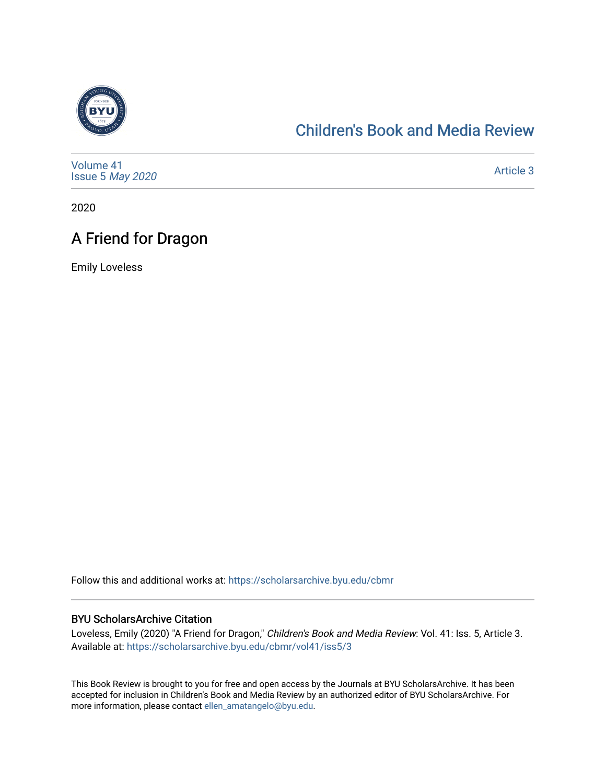

#### [Children's Book and Media Review](https://scholarsarchive.byu.edu/cbmr)

| Volume 41<br>Issue 5 May 2020 | Article 3 |
|-------------------------------|-----------|
|-------------------------------|-----------|

2020

## A Friend for Dragon

Emily Loveless

Follow this and additional works at: [https://scholarsarchive.byu.edu/cbmr](https://scholarsarchive.byu.edu/cbmr?utm_source=scholarsarchive.byu.edu%2Fcbmr%2Fvol41%2Fiss5%2F3&utm_medium=PDF&utm_campaign=PDFCoverPages) 

#### BYU ScholarsArchive Citation

Loveless, Emily (2020) "A Friend for Dragon," Children's Book and Media Review: Vol. 41: Iss. 5, Article 3. Available at: [https://scholarsarchive.byu.edu/cbmr/vol41/iss5/3](https://scholarsarchive.byu.edu/cbmr/vol41/iss5/3?utm_source=scholarsarchive.byu.edu%2Fcbmr%2Fvol41%2Fiss5%2F3&utm_medium=PDF&utm_campaign=PDFCoverPages) 

This Book Review is brought to you for free and open access by the Journals at BYU ScholarsArchive. It has been accepted for inclusion in Children's Book and Media Review by an authorized editor of BYU ScholarsArchive. For more information, please contact [ellen\\_amatangelo@byu.edu.](mailto:ellen_amatangelo@byu.edu)